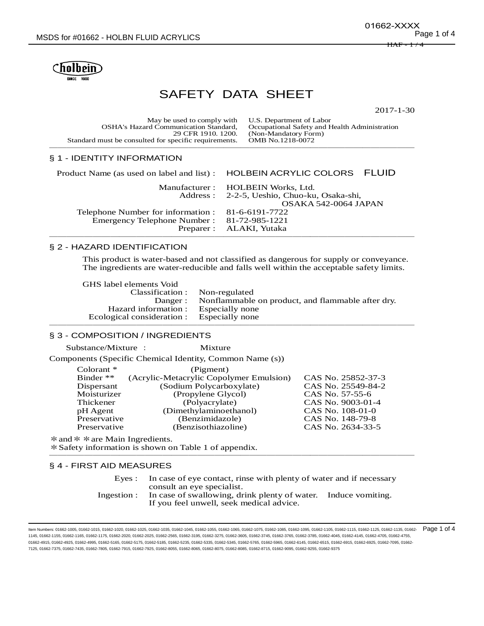

# SAFETY DATA SHEET

2017-1-30

| May be used to comply with U.S. Department of Labor<br><b>OSHA's Hazard Communication Standard,</b><br>29 CFR 1910, 1200. | Occupational Safety and Health Administration<br>(Non-Mandatory Form) |
|---------------------------------------------------------------------------------------------------------------------------|-----------------------------------------------------------------------|
| Standard must be consulted for specific requirements.                                                                     | OMB No.1218-0072                                                      |
|                                                                                                                           |                                                                       |

# § 1 - IDENTITY INFORMATION

|                                                   | Product Name (as used on label and list) : HOLBEIN ACRYLIC COLORS FLUID |
|---------------------------------------------------|-------------------------------------------------------------------------|
|                                                   | Manufacturer: HOLBEIN Works, Ltd.                                       |
|                                                   | Address: 2-2-5, Ueshio, Chuo-ku, Osaka-shi,                             |
|                                                   | OSAKA 542-0064 JAPAN                                                    |
| Telephone Number for information : 81-6-6191-7722 |                                                                         |
| Emergency Telephone Number: 81-72-985-1221        |                                                                         |
|                                                   | Preparer : ALAKI, Yutaka                                                |
|                                                   |                                                                         |

# § 2 - HAZARD IDENTIFICATION

This product is water-based and not classified as dangerous for supply or conveyance. The ingredients are water-reducible and falls well within the acceptable safety limits.

GHS label elements Void Classification : Non-regulated Nonflammable on product, and flammable after dry.<br>Especially none Hazard information : Especially none<br>
pacial consideration : Especially none Ecological consideration : ──────────────────────────────────────────

#### § 3 - COMPOSITION / INGREDIENTS

| Substance/Mixture : | Mixture                                                  |                    |
|---------------------|----------------------------------------------------------|--------------------|
|                     | Components (Specific Chemical Identity, Common Name (s)) |                    |
| Colorant $*$        | (Pigment)                                                |                    |
| Binder $**$         | (Acrylic-Metacrylic Copolymer Emulsion)                  | CAS No. 25852-37-3 |
| Dispersant          | (Sodium Polycarboxylate)                                 | CAS No. 25549-84-2 |
| Moisturizer         | (Propylene Glycol)                                       | CAS No. 57-55-6    |
| Thickener           | (Polyacrylate)                                           | CAS No. 9003-01-4  |
| pH Agent            | (Dimethylaminoethanol)                                   | CAS No. 108-01-0   |
| Preservative        | (Benzimidazole)                                          | CAS No. 148-79-8   |
| Preservative        | (Benzisothiazoline)                                      | CAS No. 2634-33-5  |

\* and \* \* are Main Ingredients. \*Safety information is shown on Table 1 of appendix. ──────────────────────────────────────────

# § 4 - FIRST AID MEASURES

| Eves:       | In case of eye contact, rinse with plenty of water and if necessary                                                                      |  |
|-------------|------------------------------------------------------------------------------------------------------------------------------------------|--|
| Ingestion : | consult an eye specialist.<br>In case of swallowing, drink plenty of water. Induce vomiting.<br>If you feel unwell, seek medical advice. |  |

ltem Numbers: 01662-1005, 01662-1015, 01662-1020, 01662-1025, 01662-1035, 01662-1045, 01662-1055, 01662-1055, 01662-1085, 01662-1105, 01662-11105, 01662-1125, 01662-1125, 01662-1135, 01662-1125, 01662-1125, 01662-1135, 016 1145, 01662-1155, 01662-1165, 01662-1175, 01662-2020, 01662-2025, 01662-2565, 01662-3195, 01662-3275, 01662-3605, 01662-3745, 01662-3765, 01662-3785, 01662-4045, 01662-4145, 01662-4705, 01662-4755, 01662-4915, 01662-4925, 01662-4995, 01662-5165, 01662-5175, 01662-5185, 01662-5235, 01662-5335, 01662-5745, 01662-5965, 01662-5945, 01662-6915, 01662-6915, 01662-6915, 01662-6925, 01662-6915, 01662-6915, 01662-6915, 01662-6 7125, 01662-7375, 01662-7435, 01662-7805, 01662-7915, 01662-7925, 01662-8055, 01662-8065, 01662-8075, 01662-8085, 01662-8715, 01662-9095, 01662-9255, 01662-9375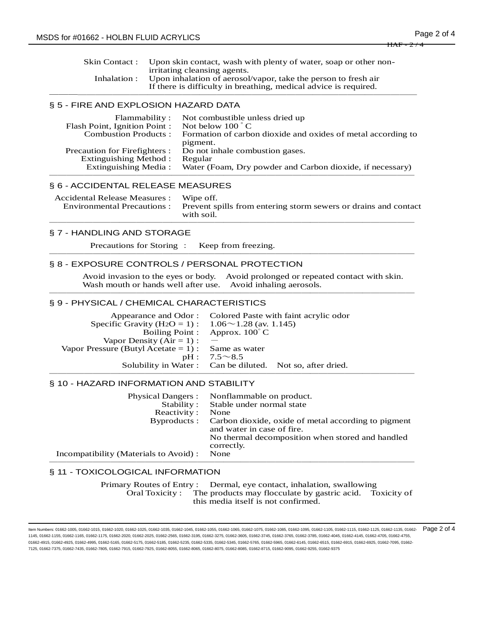Skin Contact : Upon skin contact, wash with plenty of water, soap or other nonirritating cleansing agents. Inhalation : Upon inhalation of aerosol/vapor, take the person to fresh air If there is difficulty in breathing, medical advice is required. ──────────────────────────────────────────

## § 5 - FIRE AND EXPLOSION HAZARD DATA

| Flammability:                 | Not combustible unless dried up                                          |
|-------------------------------|--------------------------------------------------------------------------|
| Flash Point, Ignition Point:  | Not below $100^{\circ}$ C                                                |
| <b>Combustion Products:</b>   | Formation of carbon dioxide and oxides of metal according to<br>pigment. |
| Precaution for Firefighters : | Do not inhale combustion gases.                                          |
| <b>Extinguishing Method:</b>  | Regular                                                                  |
| <b>Extinguishing Media:</b>   | Water (Foam, Dry powder and Carbon dioxide, if necessary)                |
|                               |                                                                          |

#### § 6 - ACCIDENTAL RELEASE MEASURES

| Accidental Release Measures : Wipe off.<br>Environmental Precautions : Prevent spills from entering storm sewers or drains and contact<br>with soil. |
|------------------------------------------------------------------------------------------------------------------------------------------------------|
|                                                                                                                                                      |
|                                                                                                                                                      |

──────────────────────────────────────────

#### § 7 - HANDLING AND STORAGE

Precautions for Storing : Keep from freezing. ──────────────────────────────────────────

#### § 8 - EXPOSURE CONTROLS / PERSONAL PROTECTION

Avoid invasion to the eyes or body. Avoid prolonged or repeated contact with skin. Wash mouth or hands well after use. Avoid inhaling aerosols. ──────────────────────────────────────────

#### § 9 - PHYSICAL / CHEMICAL CHARACTERISTICS

|                                                                        | Appearance and Odor: Colored Paste with faint acrylic odor |
|------------------------------------------------------------------------|------------------------------------------------------------|
| Specific Gravity (H <sub>2</sub> O = 1) : $1.06 \sim 1.28$ (av. 1.145) |                                                            |
|                                                                        | Boiling Point : Approx. $100^{\circ}$ C                    |
| Vapor Density $(Air = 1)$ :                                            |                                                            |
| Vapor Pressure (Butyl Acetate = 1) : Same as water                     |                                                            |
|                                                                        | $pH: 7.5 \sim 8.5$                                         |
|                                                                        | Solubility in Water: Can be diluted. Not so, after dried.  |
|                                                                        |                                                            |

## § 10 - HAZARD INFORMATION AND STABILITY

| <b>Physical Dangers:</b>               | Nonflammable on product.                                                                       |
|----------------------------------------|------------------------------------------------------------------------------------------------|
| Stability:                             | Stable under normal state                                                                      |
| Reactivity:                            | None                                                                                           |
|                                        | Byproducts : Carbon dioxide, oxide of metal according to pigment<br>and water in case of fire. |
|                                        | No thermal decomposition when stored and handled<br>correctly.                                 |
| Incompatibility (Materials to Avoid) : | None                                                                                           |
|                                        |                                                                                                |

## § 11 - TOXICOLOGICAL INFORMATION

Primary Routes of Entry : Dermal, eye contact, inhalation, swallowing Oral Toxicity : The products may flocculate by gastric acid. Toxicity of this media itself is not confirmed.

ltem Numbers: 01662-1005, 01662-1015, 01662-1020, 01662-1025, 01662-1035, 01662-1045, 01662-1055, 01662-1055, 01662-1085, 01662-1105, 01662-11105, 01662-1125, 01662-1125, 01662-1135, 01662-1125, 01662-1125, 01662-1125, 016 1145, 01662-1155, 01662-1165, 01662-1175, 01662-2020, 01662-2025, 01662-2565, 01662-3195, 01662-3275, 01662-3605, 01662-3745, 01662-3765, 01662-3785, 01662-4045, 01662-4145, 01662-4705, 01662-4755, 01662-4915, 01662-4925, 01662-4995, 01662-5165, 01662-5175, 01662-5185, 01662-5235, 01662-5335, 01662-5745, 01662-5965, 01662-5945, 01662-6915, 01662-6915, 01662-6915, 01662-6925, 01662-6915, 01662-6915, 01662-6915, 01662-6 7125, 01662-7375, 01662-7435, 01662-7805, 01662-7915, 01662-7925, 01662-8055, 01662-8065, 01662-8075, 01662-8085, 01662-8715, 01662-9095, 01662-9255, 01662-9375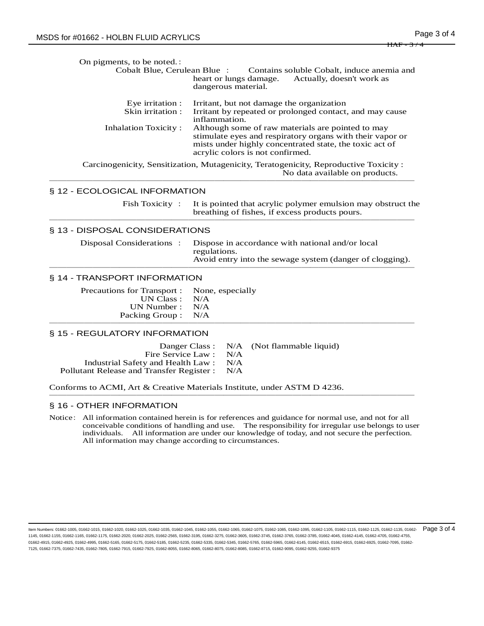On pigments, to be noted.: Cobalt Blue, Cerulean Blue : Contains soluble Cobalt, induce anemia and heart or lungs damage. Actually, doesn't work as dangerous material. Eye irritation : Irritant, but not damage the organization<br>Skin irritation : Irritant by repeated or prolonged contact Irritant by repeated or prolonged contact, and may cause inflammation. Inhalation Toxicity : Although some of raw materials are pointed to may stimulate eyes and respiratory organs with their vapor or mists under highly concentrated state, the toxic act of acrylic colors is not confirmed. Carcinogenicity, Sensitization, Mutagenicity, Teratogenicity, Reproductive Toxicity : No data available on products. ────────────────────────────────────────── § 12 - ECOLOGICAL INFORMATION Fish Toxicity : It is pointed that acrylic polymer emulsion may obstruct the breathing of fishes, if excess products pours. ────────────────────────────────────────── § 13 - DISPOSAL CONSIDERATIONS Disposal Considerations : Dispose in accordance with national and/or local regulations. Avoid entry into the sewage system (danger of clogging). ────────────────────────────────────────── § 14 - TRANSPORT INFORMATION Precautions for Transport : None, especially<br>UN Class : N/A UN Class : N/A<br>N Number : N/A UN Number : Packing Group : N/A ────────────────────────────────────────── § 15 - REGULATORY INFORMATION Danger Class : N/A (Not flammable liquid) Fire Service Law : N/A Industrial Safety and Health Law : N/A Pollutant Release and Transfer Register : N/A Conforms to ACMI, Art & Creative Materials Institute, under ASTM D 4236. ────────────────────────────────────────── § 16 - OTHER INFORMATION

Notice: All information contained herein is for references and guidance for normal use, and not for all conceivable conditions of handling and use. The responsibility for irregular use belongs to user individuals. All information are under our knowledge of today, and not secure the perfection. All information may change according to circumstances.

ltem Numbers: 01662-1005, 01662-1015, 01662-1020, 01662-1025, 01662-1035, 01662-1045, 01662-1065, 01662-1075, 01662-1085, 01662-1085, 01662-1105, 01662-1115, 01662-1125, 01662-1135, 01662-1135, 01662-1125, 01662-1125, 0166 1145, 01662-1155, 01662-1165, 01662-1175, 01662-2020, 01662-2025, 01662-2565, 01662-3195, 01662-3275, 01662-3605, 01662-3745, 01662-3765, 01662-3785, 01662-4045, 01662-4145, 01662-4705, 01662-4755, 01662-4915, 01662-4925, 01662-4995, 01662-5165, 01662-5175, 01662-5185, 01662-5235, 01662-5335, 01662-5745, 01662-5965, 01662-5945, 01662-6915, 01662-6915, 01662-6915, 01662-6925, 01662-6915, 01662-6915, 01662-6915, 01662-6 7125, 01662-7375, 01662-7435, 01662-7805, 01662-7915, 01662-7925, 01662-8055, 01662-8065, 01662-8075, 01662-8085, 01662-8715, 01662-9095, 01662-9255, 01662-9375